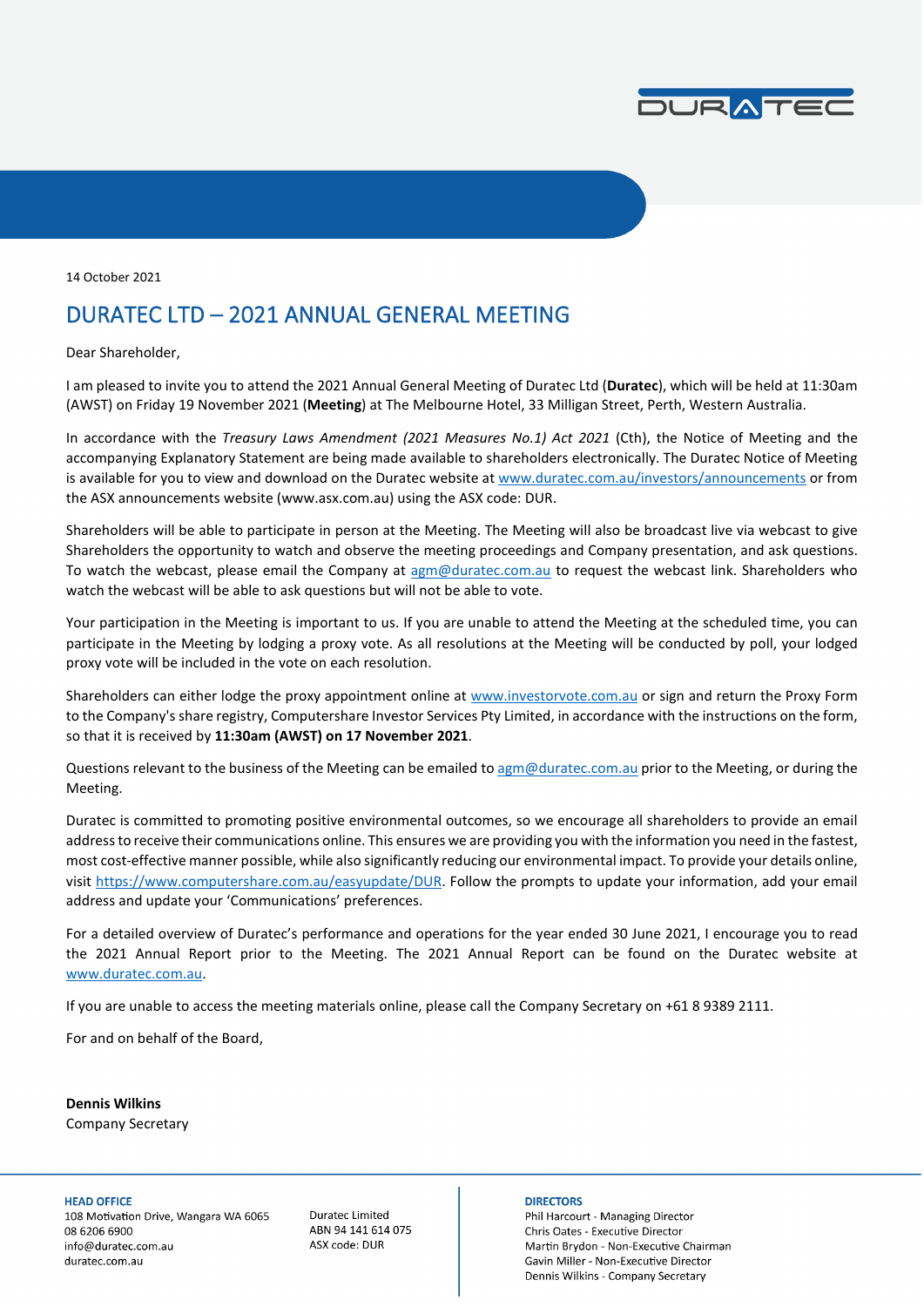

14 October 2021

### DURATEC LTD – 2021 ANNUAL GENERAL MEETING

Dear Shareholder,

I am pleased to invite you to attend the 2021 Annual General Meeting of Duratec Ltd (**Duratec**), which will be held at 11:30am (AWST) on Friday 19 November 2021 (**Meeting**) at The Melbourne Hotel, 33 Milligan Street, Perth, Western Australia.

In accordance with the *Treasury Laws Amendment (2021 Measures No.1) Act 2021* (Cth), the Notice of Meeting and the accompanying Explanatory Statement are being made available to shareholders electronically. The Duratec Notice of Meeting is available for you to view and download on the Duratec website at [www.duratec.com.au/investors/announcements](https://www.duratec.com.au/investors/announcements/) or from the ASX announcements website (www.asx.com.au) using the ASX code: DUR.

Shareholders will be able to participate in person at the Meeting. The Meeting will also be broadcast live via webcast to give Shareholders the opportunity to watch and observe the meeting proceedings and Company presentation, and ask questions. To watch the webcast, please email the Company at [agm@duratec.com.au](mailto:agm@duratec.com.au?subject=Request%20for%20AGM%20webcast%20link) to request the webcast link. Shareholders who watch the webcast will be able to ask questions but will not be able to vote.

Your participation in the Meeting is important to us. If you are unable to attend the Meeting at the scheduled time, you can participate in the Meeting by lodging a proxy vote. As all resolutions at the Meeting will be conducted by poll, your lodged proxy vote will be included in the vote on each resolution.

Shareholders can either lodge the proxy appointment online at [www.investorvote.com.au](https://www.investorvote.com.au/Login) or sign and return the Proxy Form to the Company's share registry, Computershare Investor Services Pty Limited, in accordance with the instructions on the form, so that it is received by **11:30am (AWST) on 17 November 2021**.

Questions relevant to the business of the Meeting can be emailed t[o agm@duratec.com.au](mailto:agm@duratec.com.au?subject=AGM%20question) prior to the Meeting, or during the Meeting.

Duratec is committed to promoting positive environmental outcomes, so we encourage all shareholders to provide an email address to receive their communications online. This ensures we are providing you with the information you need in the fastest, most cost-effective manner possible, while also significantly reducing our environmental impact. To provide your details online, visi[t https://www.computershare.com.au/easyupdate/DUR.](https://www.computershare.com.au/easyupdate/DUR) Follow the prompts to update your information, add your email address and update your 'Communications' preferences.

For a detailed overview of Duratec's performance and operations for the year ended 30 June 2021, I encourage you to read the 2021 Annual Report prior to the Meeting. The 2021 Annual Report can be found on the Duratec website at [www.duratec.com.au.](http://www.duratec.com.au/) 

If you are unable to access the meeting materials online, please call the Company Secretary on +61 8 9389 2111.

For and on behalf of the Board,

**Dennis Wilkins** Company Secretary

#### **HEAD OFFICE**

108 Motivation Drive, Wangara WA 6065 08 6206 6900 info@duratec.com.au duratec.com.au

**Duratec Limited** ABN 94 141 614 075 ASX code: DUR

#### **DIRECTORS**

Phil Harcourt - Managing Director Chris Oates - Executive Director Martin Brydon - Non-Executive Chairman Gavin Miller - Non-Executive Director Dennis Wilkins - Company Secretary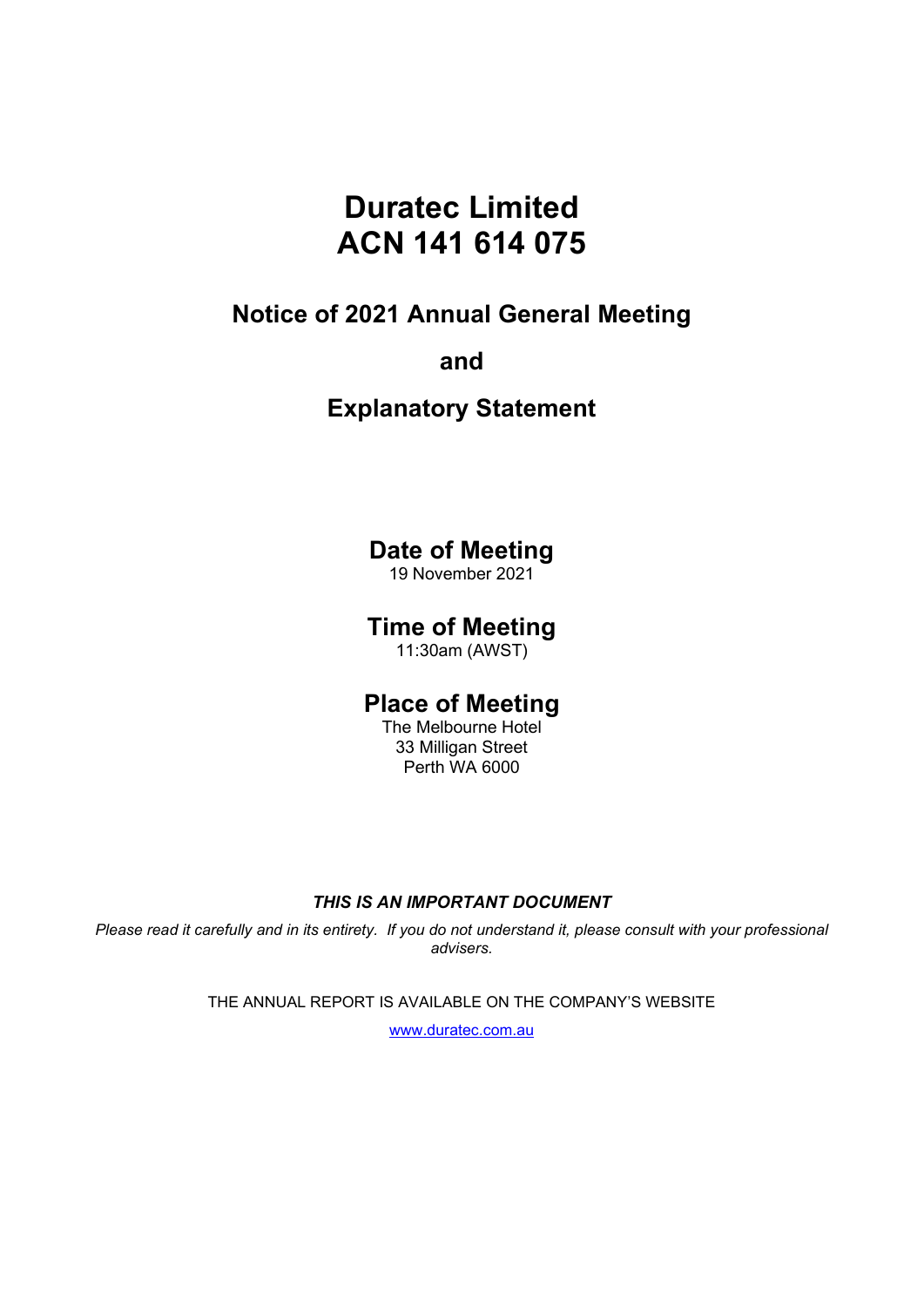# **Duratec Limited ACN 141 614 075**

### **Notice of 2021 Annual General Meeting**

### **and**

## **Explanatory Statement**

### **Date of Meeting**

19 November 2021

### **Time of Meeting**

11:30am (AWST)

### **Place of Meeting**

The Melbourne Hotel 33 Milligan Street Perth WA 6000

### *THIS IS AN IMPORTANT DOCUMENT*

*Please read it carefully and in its entirety. If you do not understand it, please consult with your professional advisers.* 

THE ANNUAL REPORT IS AVAILABLE ON THE COMPANY'S WEBSITE

[www.duratec.com.au](http://www.duratec.com.au/)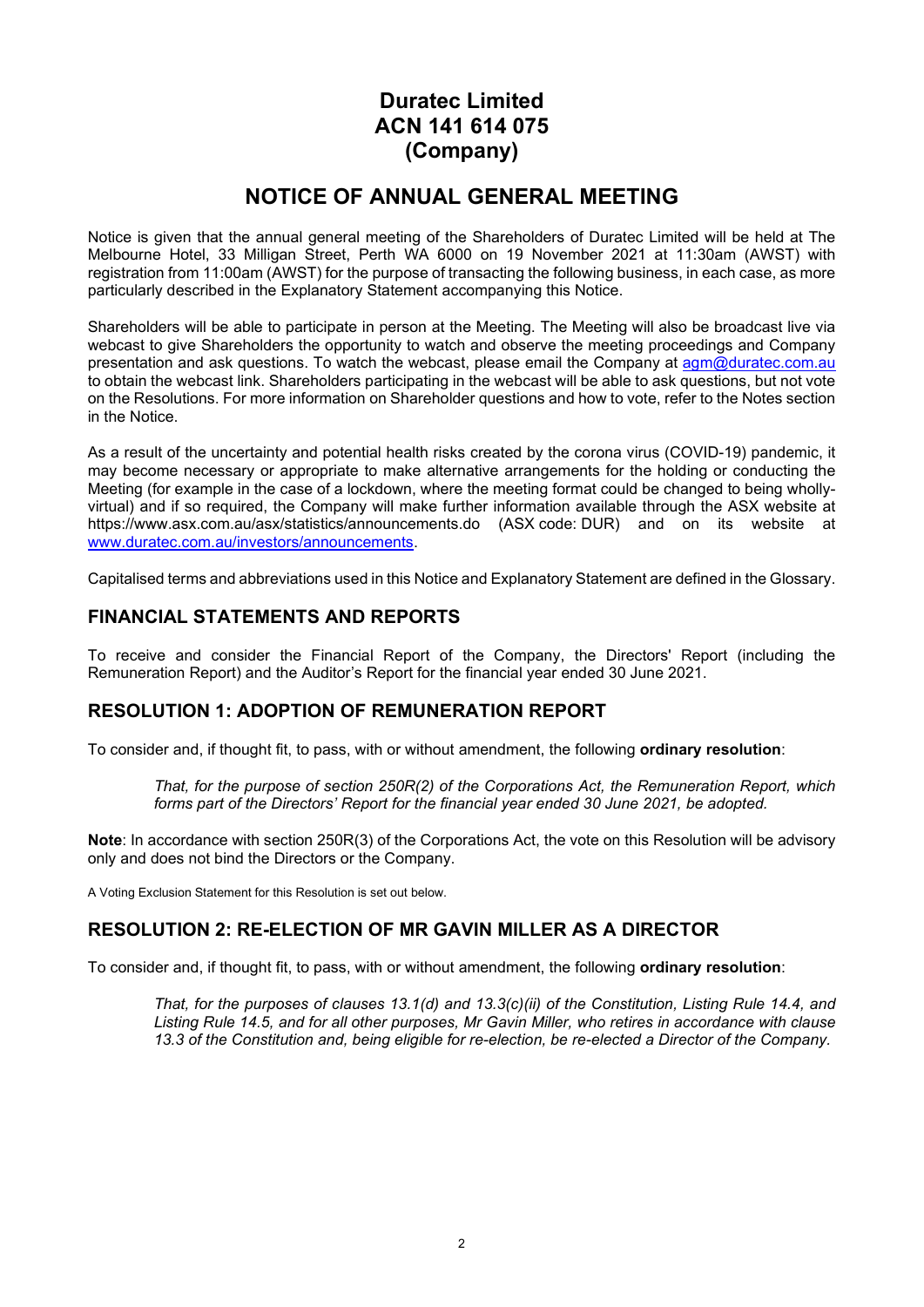### **Duratec Limited ACN 141 614 075 (Company)**

### **NOTICE OF ANNUAL GENERAL MEETING**

Notice is given that the annual general meeting of the Shareholders of Duratec Limited will be held at The Melbourne Hotel, 33 Milligan Street, Perth WA 6000 on 19 November 2021 at 11:30am (AWST) with registration from 11:00am (AWST) for the purpose of transacting the following business, in each case, as more particularly described in the Explanatory Statement accompanying this Notice.

Shareholders will be able to participate in person at the Meeting. The Meeting will also be broadcast live via webcast to give Shareholders the opportunity to watch and observe the meeting proceedings and Company presentation and ask questions. To watch the webcast, please email the Company at [agm@duratec.com.au](mailto:agm@duratec.com.au?subject=Request%20for%20AGM%20webcast%20link) to obtain the webcast link. Shareholders participating in the webcast will be able to ask questions, but not vote on the Resolutions. For more information on Shareholder questions and how to vote, refer to the Notes section in the Notice.

As a result of the uncertainty and potential health risks created by the corona virus (COVID-19) pandemic, it may become necessary or appropriate to make alternative arrangements for the holding or conducting the Meeting (for example in the case of a lockdown, where the meeting format could be changed to being whollyvirtual) and if so required, the Company will make further information available through the ASX website at https://www.asx.com.au/asx/statistics/announcements.do (ASX code: DUR) and on its website at [www.duratec.com.au/investors/announcements.](http://www.duratec.com.au/investors/announcements)

Capitalised terms and abbreviations used in this Notice and Explanatory Statement are defined in the Glossary.

### **FINANCIAL STATEMENTS AND REPORTS**

To receive and consider the Financial Report of the Company, the Directors' Report (including the Remuneration Report) and the Auditor's Report for the financial year ended 30 June 2021.

### **RESOLUTION 1: ADOPTION OF REMUNERATION REPORT**

To consider and, if thought fit, to pass, with or without amendment, the following **ordinary resolution**:

*That, for the purpose of section 250R(2) of the Corporations Act, the Remuneration Report, which forms part of the Directors' Report for the financial year ended 30 June 2021, be adopted.*

**Note**: In accordance with section 250R(3) of the Corporations Act, the vote on this Resolution will be advisory only and does not bind the Directors or the Company.

A Voting Exclusion Statement for this Resolution is set out below.

### **RESOLUTION 2: RE-ELECTION OF MR GAVIN MILLER AS A DIRECTOR**

To consider and, if thought fit, to pass, with or without amendment, the following **ordinary resolution**:

*That, for the purposes of clauses 13.1(d) and 13.3(c)(ii) of the Constitution, Listing Rule 14.4, and Listing Rule 14.5, and for all other purposes, Mr Gavin Miller, who retires in accordance with clause 13.3 of the Constitution and, being eligible for re-election, be re-elected a Director of the Company.*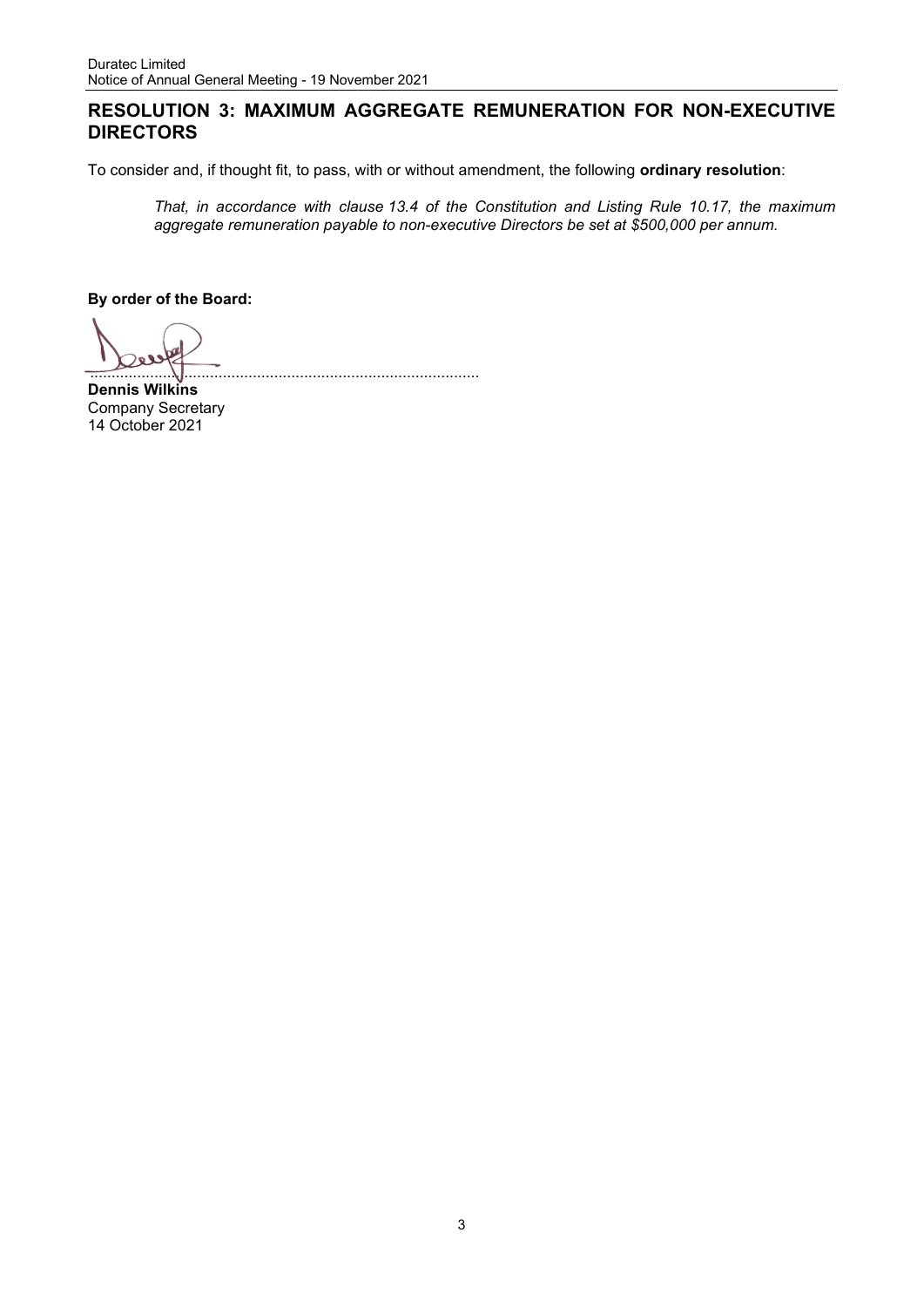#### **RESOLUTION 3: MAXIMUM AGGREGATE REMUNERATION FOR NON-EXECUTIVE DIRECTORS**

To consider and, if thought fit, to pass, with or without amendment, the following **ordinary resolution**:

...........................................................................................

*That, in accordance with clause 13.4 of the Constitution and Listing Rule 10.17, the maximum aggregate remuneration payable to non-executive Directors be set at \$500,000 per annum.*

**By order of the Board:**

**Dennis Wilkins**  Company Secretary 14 October 2021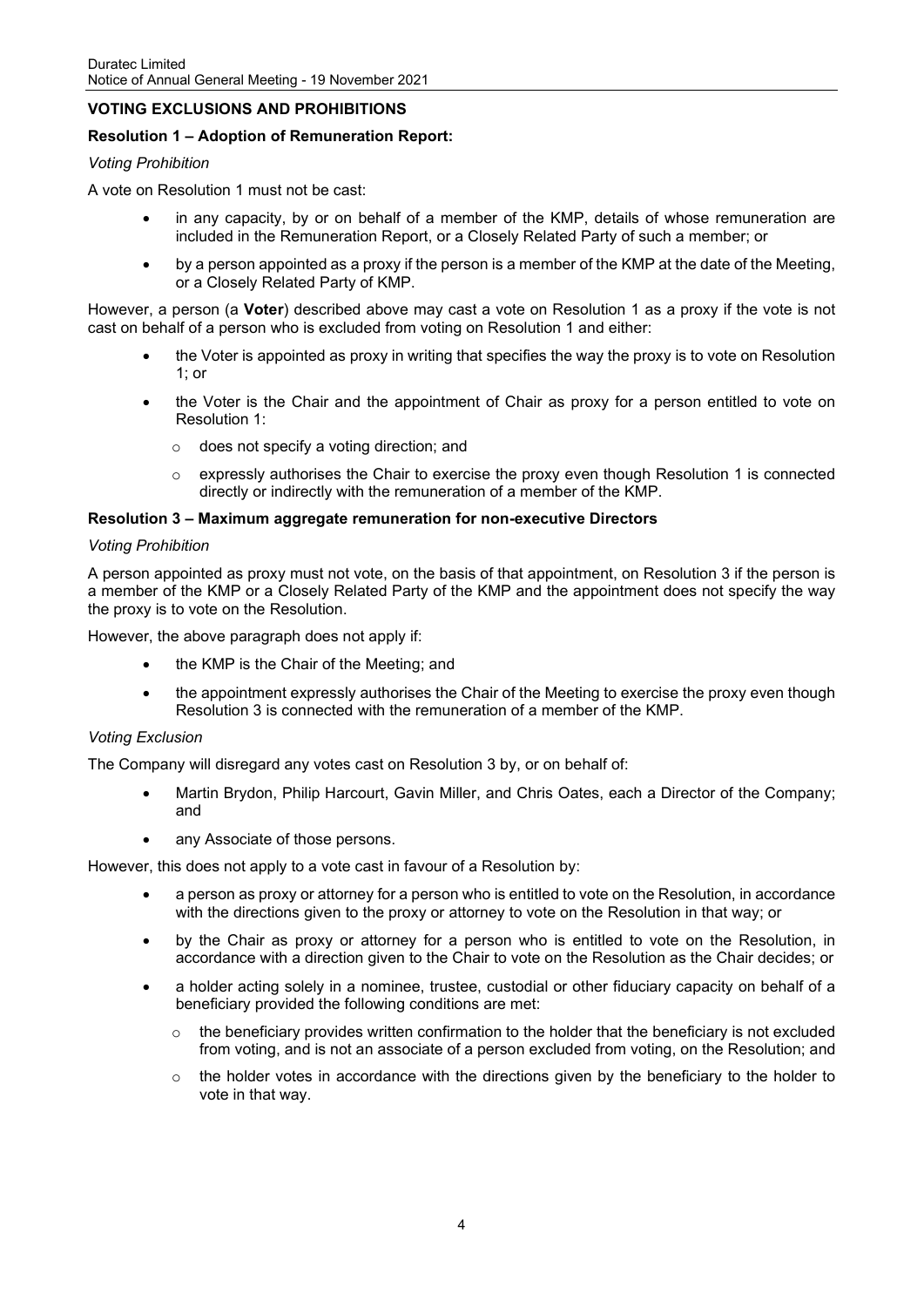#### **VOTING EXCLUSIONS AND PROHIBITIONS**

#### **Resolution 1 – Adoption of Remuneration Report:**

#### *Voting Prohibition*

A vote on Resolution 1 must not be cast:

- in any capacity, by or on behalf of a member of the KMP, details of whose remuneration are included in the Remuneration Report, or a Closely Related Party of such a member; or
- by a person appointed as a proxy if the person is a member of the KMP at the date of the Meeting, or a Closely Related Party of KMP.

However, a person (a **Voter**) described above may cast a vote on Resolution 1 as a proxy if the vote is not cast on behalf of a person who is excluded from voting on Resolution 1 and either:

- the Voter is appointed as proxy in writing that specifies the way the proxy is to vote on Resolution 1: or
- the Voter is the Chair and the appointment of Chair as proxy for a person entitled to vote on Resolution 1:
	- o does not specify a voting direction; and
	- $\circ$  expressly authorises the Chair to exercise the proxy even though Resolution 1 is connected directly or indirectly with the remuneration of a member of the KMP.

#### **Resolution 3 – Maximum aggregate remuneration for non-executive Directors**

#### *Voting Prohibition*

A person appointed as proxy must not vote, on the basis of that appointment, on Resolution 3 if the person is a member of the KMP or a Closely Related Party of the KMP and the appointment does not specify the way the proxy is to vote on the Resolution.

However, the above paragraph does not apply if:

- the KMP is the Chair of the Meeting; and
- the appointment expressly authorises the Chair of the Meeting to exercise the proxy even though Resolution 3 is connected with the remuneration of a member of the KMP.

#### *Voting Exclusion*

The Company will disregard any votes cast on Resolution 3 by, or on behalf of:

- Martin Brydon, Philip Harcourt, Gavin Miller, and Chris Oates, each a Director of the Company; and
- any Associate of those persons.

However, this does not apply to a vote cast in favour of a Resolution by:

- a person as proxy or attorney for a person who is entitled to vote on the Resolution, in accordance with the directions given to the proxy or attorney to vote on the Resolution in that way; or
- by the Chair as proxy or attorney for a person who is entitled to vote on the Resolution, in accordance with a direction given to the Chair to vote on the Resolution as the Chair decides; or
- a holder acting solely in a nominee, trustee, custodial or other fiduciary capacity on behalf of a beneficiary provided the following conditions are met:
	- $\circ$  the beneficiary provides written confirmation to the holder that the beneficiary is not excluded from voting, and is not an associate of a person excluded from voting, on the Resolution; and
	- $\circ$  the holder votes in accordance with the directions given by the beneficiary to the holder to vote in that way.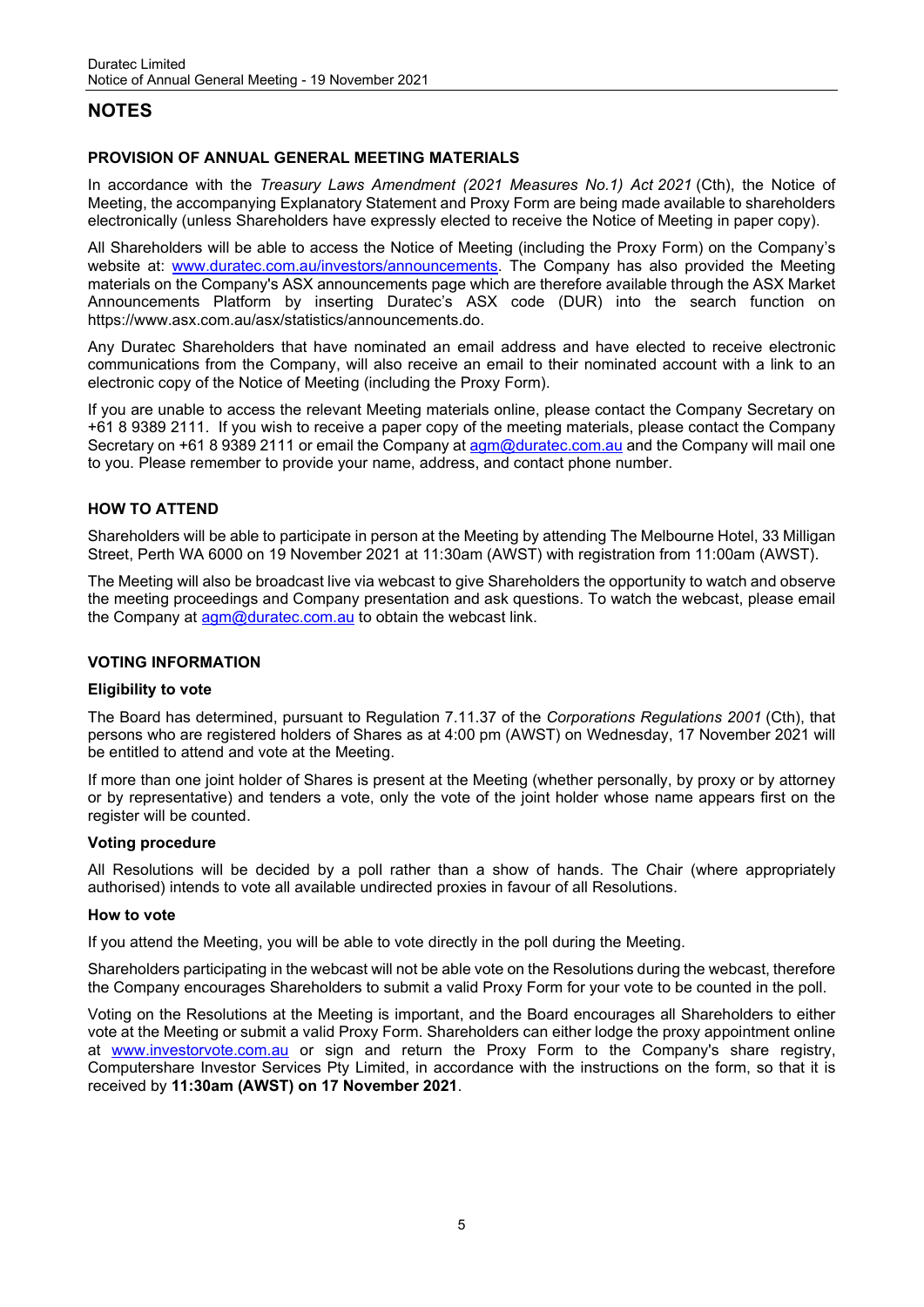### **NOTES**

#### **PROVISION OF ANNUAL GENERAL MEETING MATERIALS**

In accordance with the *Treasury Laws Amendment (2021 Measures No.1) Act 2021* (Cth), the Notice of Meeting, the accompanying Explanatory Statement and Proxy Form are being made available to shareholders electronically (unless Shareholders have expressly elected to receive the Notice of Meeting in paper copy).

All Shareholders will be able to access the Notice of Meeting (including the Proxy Form) on the Company's website at: [www.duratec.com.au/investors/announcements.](https://www.duratec.com.au/investors/announcements/) The Company has also provided the Meeting materials on the Company's ASX announcements page which are therefore available through the ASX Market Announcements Platform by inserting Duratec's ASX code (DUR) into the search function on https://www.asx.com.au/asx/statistics/announcements.do.

Any Duratec Shareholders that have nominated an email address and have elected to receive electronic communications from the Company, will also receive an email to their nominated account with a link to an electronic copy of the Notice of Meeting (including the Proxy Form).

If you are unable to access the relevant Meeting materials online, please contact the Company Secretary on +61 8 9389 2111. If you wish to receive a paper copy of the meeting materials, please contact the Company Secretary on +61 8 9389 2111 or email the Company at [agm@duratec.com.au](mailto:agm@duratec.com.au?subject=Paper%20copy%20of%20Notice%20of%20Meeting) and the Company will mail one to you. Please remember to provide your name, address, and contact phone number.

#### **HOW TO ATTEND**

Shareholders will be able to participate in person at the Meeting by attending The Melbourne Hotel, 33 Milligan Street, Perth WA 6000 on 19 November 2021 at 11:30am (AWST) with registration from 11:00am (AWST).

The Meeting will also be broadcast live via webcast to give Shareholders the opportunity to watch and observe the meeting proceedings and Company presentation and ask questions. To watch the webcast, please email the Company at  $\frac{\text{agm@duratec.com.au}}{\text{aum@duratec.com.au}}$  to obtain the webcast link.

#### **VOTING INFORMATION**

#### **Eligibility to vote**

The Board has determined, pursuant to Regulation 7.11.37 of the *Corporations Regulations 2001* (Cth), that persons who are registered holders of Shares as at 4:00 pm (AWST) on Wednesday, 17 November 2021 will be entitled to attend and vote at the Meeting.

If more than one joint holder of Shares is present at the Meeting (whether personally, by proxy or by attorney or by representative) and tenders a vote, only the vote of the joint holder whose name appears first on the register will be counted.

#### **Voting procedure**

All Resolutions will be decided by a poll rather than a show of hands. The Chair (where appropriately authorised) intends to vote all available undirected proxies in favour of all Resolutions.

#### **How to vote**

If you attend the Meeting, you will be able to vote directly in the poll during the Meeting.

Shareholders participating in the webcast will not be able vote on the Resolutions during the webcast, therefore the Company encourages Shareholders to submit a valid Proxy Form for your vote to be counted in the poll.

Voting on the Resolutions at the Meeting is important, and the Board encourages all Shareholders to either vote at the Meeting or submit a valid Proxy Form. Shareholders can either lodge the proxy appointment online at [www.investorvote.com.au](https://www.investorvote.com.au/Login) or sign and return the Proxy Form to the Company's share registry, Computershare Investor Services Pty Limited, in accordance with the instructions on the form, so that it is received by **11:30am (AWST) on 17 November 2021**.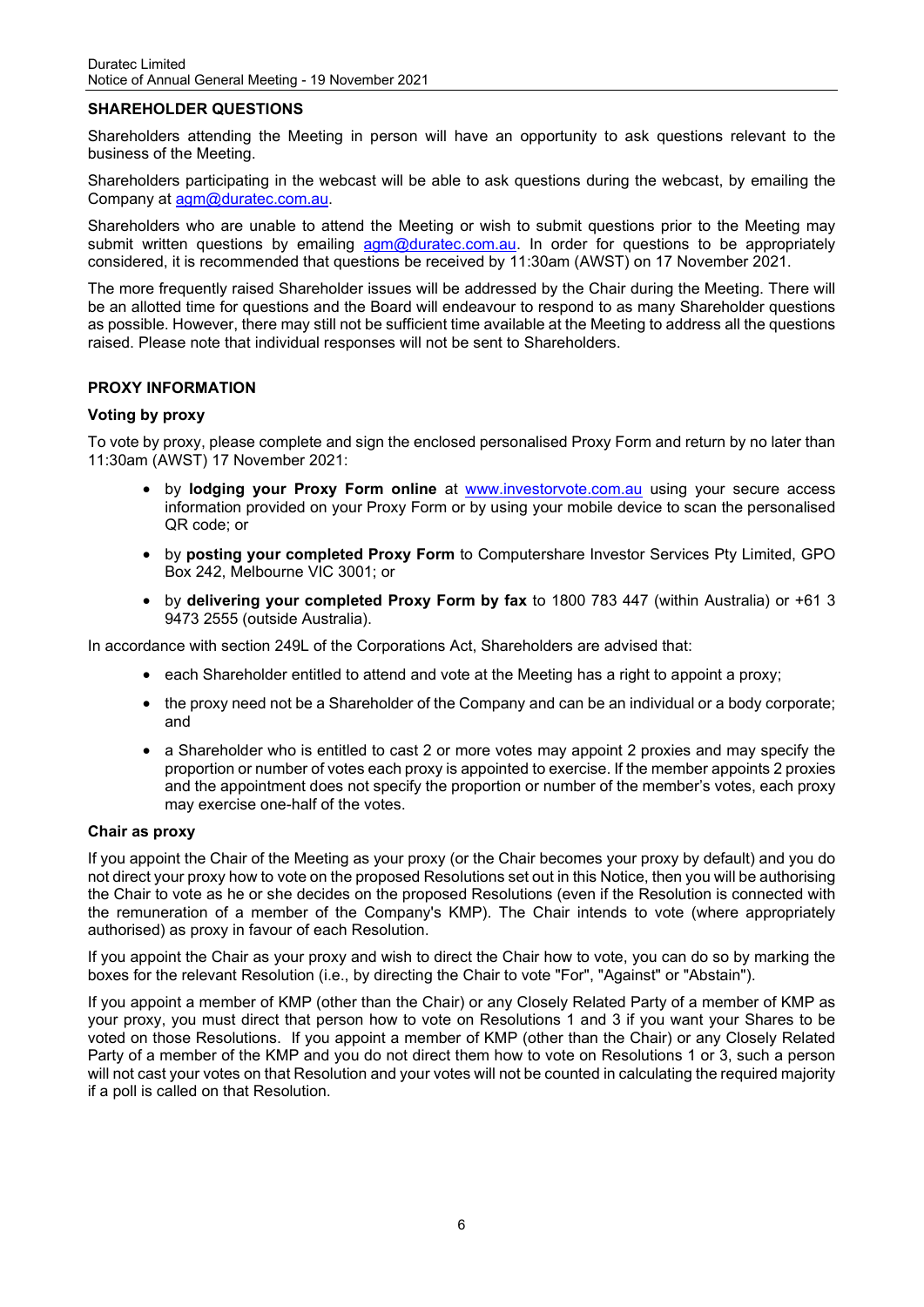#### **SHAREHOLDER QUESTIONS**

Shareholders attending the Meeting in person will have an opportunity to ask questions relevant to the business of the Meeting.

Shareholders participating in the webcast will be able to ask questions during the webcast, by emailing the Company at [agm@duratec.com.au.](mailto:agm@duratec.com.au?subject=AGM%20question)

Shareholders who are unable to attend the Meeting or wish to submit questions prior to the Meeting may submit written questions by emailing [agm@duratec.com.au.](mailto:agm@duratec.com.au?subject=AGM%20question) In order for questions to be appropriately considered, it is recommended that questions be received by 11:30am (AWST) on 17 November 2021.

The more frequently raised Shareholder issues will be addressed by the Chair during the Meeting. There will be an allotted time for questions and the Board will endeavour to respond to as many Shareholder questions as possible. However, there may still not be sufficient time available at the Meeting to address all the questions raised. Please note that individual responses will not be sent to Shareholders.

#### **PROXY INFORMATION**

#### **Voting by proxy**

To vote by proxy, please complete and sign the enclosed personalised Proxy Form and return by no later than 11:30am (AWST) 17 November 2021:

- by **lodging your Proxy Form online** at [www.investorvote.com.au](https://www.investorvote.com.au/Login) using your secure access information provided on your Proxy Form or by using your mobile device to scan the personalised QR code; or
- by **posting your completed Proxy Form** to Computershare Investor Services Pty Limited, GPO Box 242, Melbourne VIC 3001; or
- by **delivering your completed Proxy Form by fax** to 1800 783 447 (within Australia) or +61 3 9473 2555 (outside Australia).

In accordance with section 249L of the Corporations Act, Shareholders are advised that:

- each Shareholder entitled to attend and vote at the Meeting has a right to appoint a proxy;
- the proxy need not be a Shareholder of the Company and can be an individual or a body corporate; and
- a Shareholder who is entitled to cast 2 or more votes may appoint 2 proxies and may specify the proportion or number of votes each proxy is appointed to exercise. If the member appoints 2 proxies and the appointment does not specify the proportion or number of the member's votes, each proxy may exercise one-half of the votes.

#### **Chair as proxy**

If you appoint the Chair of the Meeting as your proxy (or the Chair becomes your proxy by default) and you do not direct your proxy how to vote on the proposed Resolutions set out in this Notice, then you will be authorising the Chair to vote as he or she decides on the proposed Resolutions (even if the Resolution is connected with the remuneration of a member of the Company's KMP). The Chair intends to vote (where appropriately authorised) as proxy in favour of each Resolution.

If you appoint the Chair as your proxy and wish to direct the Chair how to vote, you can do so by marking the boxes for the relevant Resolution (i.e., by directing the Chair to vote "For", "Against" or "Abstain").

If you appoint a member of KMP (other than the Chair) or any Closely Related Party of a member of KMP as your proxy, you must direct that person how to vote on Resolutions 1 and 3 if you want your Shares to be voted on those Resolutions. If you appoint a member of KMP (other than the Chair) or any Closely Related Party of a member of the KMP and you do not direct them how to vote on Resolutions 1 or 3, such a person will not cast your votes on that Resolution and your votes will not be counted in calculating the required majority if a poll is called on that Resolution.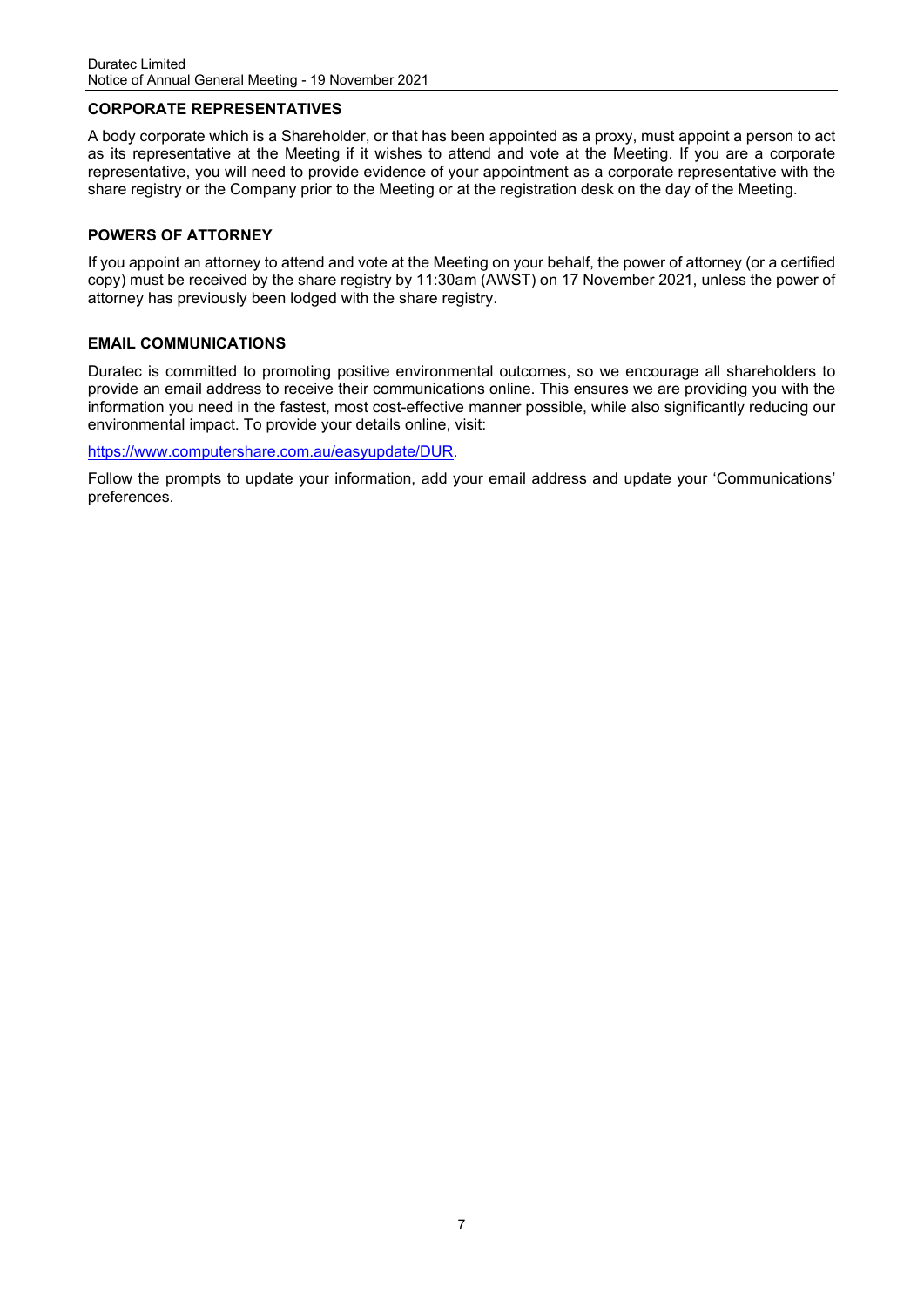#### **CORPORATE REPRESENTATIVES**

A body corporate which is a Shareholder, or that has been appointed as a proxy, must appoint a person to act as its representative at the Meeting if it wishes to attend and vote at the Meeting. If you are a corporate representative, you will need to provide evidence of your appointment as a corporate representative with the share registry or the Company prior to the Meeting or at the registration desk on the day of the Meeting.

#### **POWERS OF ATTORNEY**

If you appoint an attorney to attend and vote at the Meeting on your behalf, the power of attorney (or a certified copy) must be received by the share registry by 11:30am (AWST) on 17 November 2021, unless the power of attorney has previously been lodged with the share registry.

#### **EMAIL COMMUNICATIONS**

Duratec is committed to promoting positive environmental outcomes, so we encourage all shareholders to provide an email address to receive their communications online. This ensures we are providing you with the information you need in the fastest, most cost-effective manner possible, while also significantly reducing our environmental impact. To provide your details online, visit:

[https://www.computershare.com.au/easyupdate/DUR.](https://www.computershare.com.au/easyupdate/DUR)

Follow the prompts to update your information, add your email address and update your 'Communications' preferences.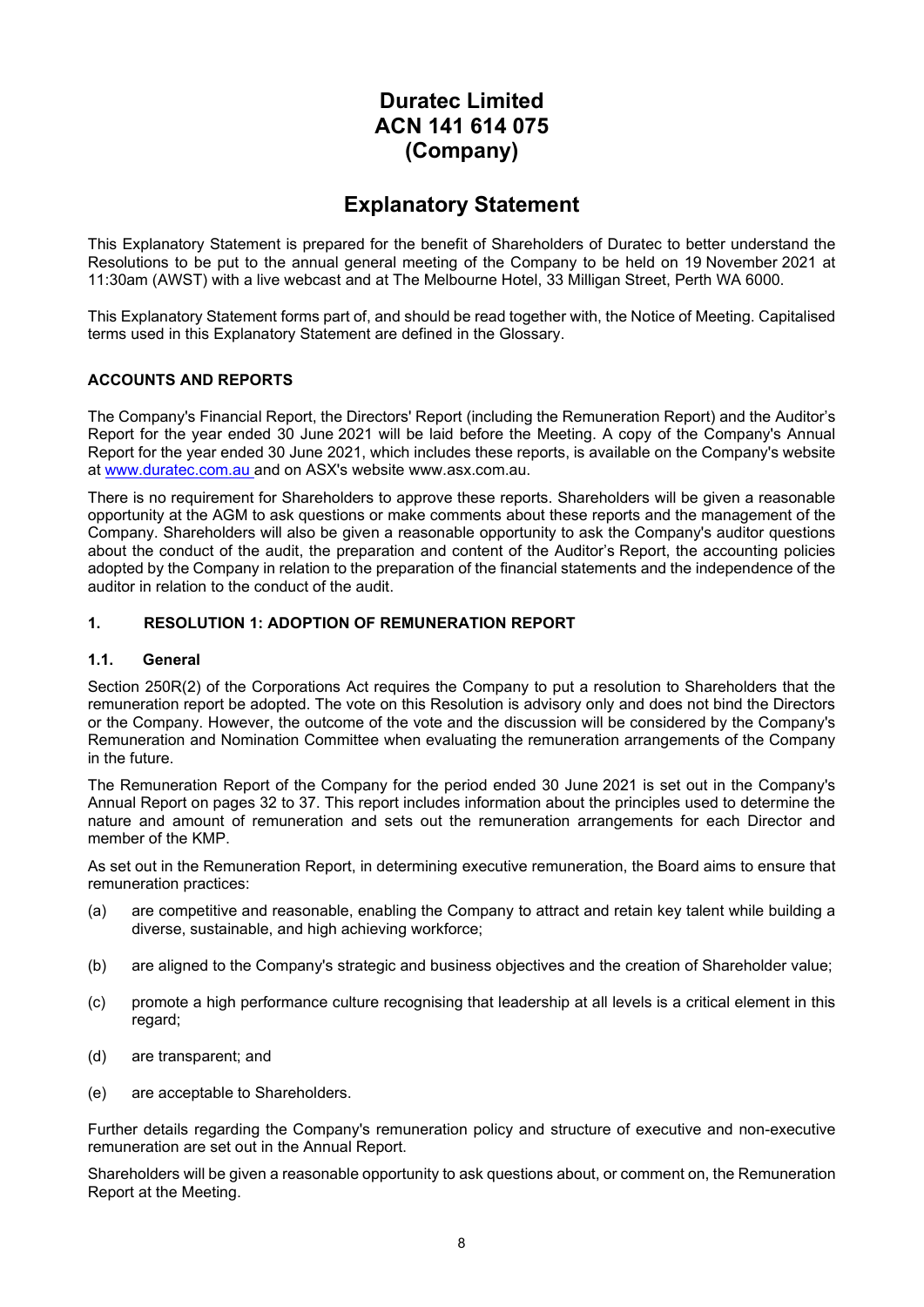### **Duratec Limited ACN 141 614 075 (Company)**

### **Explanatory Statement**

This Explanatory Statement is prepared for the benefit of Shareholders of Duratec to better understand the Resolutions to be put to the annual general meeting of the Company to be held on 19 November 2021 at 11:30am (AWST) with a live webcast and at The Melbourne Hotel, 33 Milligan Street, Perth WA 6000.

This Explanatory Statement forms part of, and should be read together with, the Notice of Meeting. Capitalised terms used in this Explanatory Statement are defined in the Glossary.

#### **ACCOUNTS AND REPORTS**

The Company's Financial Report, the Directors' Report (including the Remuneration Report) and the Auditor's Report for the year ended 30 June 2021 will be laid before the Meeting. A copy of the Company's Annual Report for the year ended 30 June 2021, which includes these reports, is available on the Company's website at [www.duratec.com.au](http://www.duratec.com.au/) and on ASX's website www.asx.com.au.

There is no requirement for Shareholders to approve these reports. Shareholders will be given a reasonable opportunity at the AGM to ask questions or make comments about these reports and the management of the Company. Shareholders will also be given a reasonable opportunity to ask the Company's auditor questions about the conduct of the audit, the preparation and content of the Auditor's Report, the accounting policies adopted by the Company in relation to the preparation of the financial statements and the independence of the auditor in relation to the conduct of the audit.

#### **1. RESOLUTION 1: ADOPTION OF REMUNERATION REPORT**

#### **1.1. General**

Section 250R(2) of the Corporations Act requires the Company to put a resolution to Shareholders that the remuneration report be adopted. The vote on this Resolution is advisory only and does not bind the Directors or the Company. However, the outcome of the vote and the discussion will be considered by the Company's Remuneration and Nomination Committee when evaluating the remuneration arrangements of the Company in the future.

The Remuneration Report of the Company for the period ended 30 June 2021 is set out in the Company's Annual Report on pages 32 to 37. This report includes information about the principles used to determine the nature and amount of remuneration and sets out the remuneration arrangements for each Director and member of the KMP.

As set out in the Remuneration Report, in determining executive remuneration, the Board aims to ensure that remuneration practices:

- (a) are competitive and reasonable, enabling the Company to attract and retain key talent while building a diverse, sustainable, and high achieving workforce;
- (b) are aligned to the Company's strategic and business objectives and the creation of Shareholder value;
- (c) promote a high performance culture recognising that leadership at all levels is a critical element in this regard;
- (d) are transparent; and
- (e) are acceptable to Shareholders.

Further details regarding the Company's remuneration policy and structure of executive and non-executive remuneration are set out in the Annual Report.

Shareholders will be given a reasonable opportunity to ask questions about, or comment on, the Remuneration Report at the Meeting.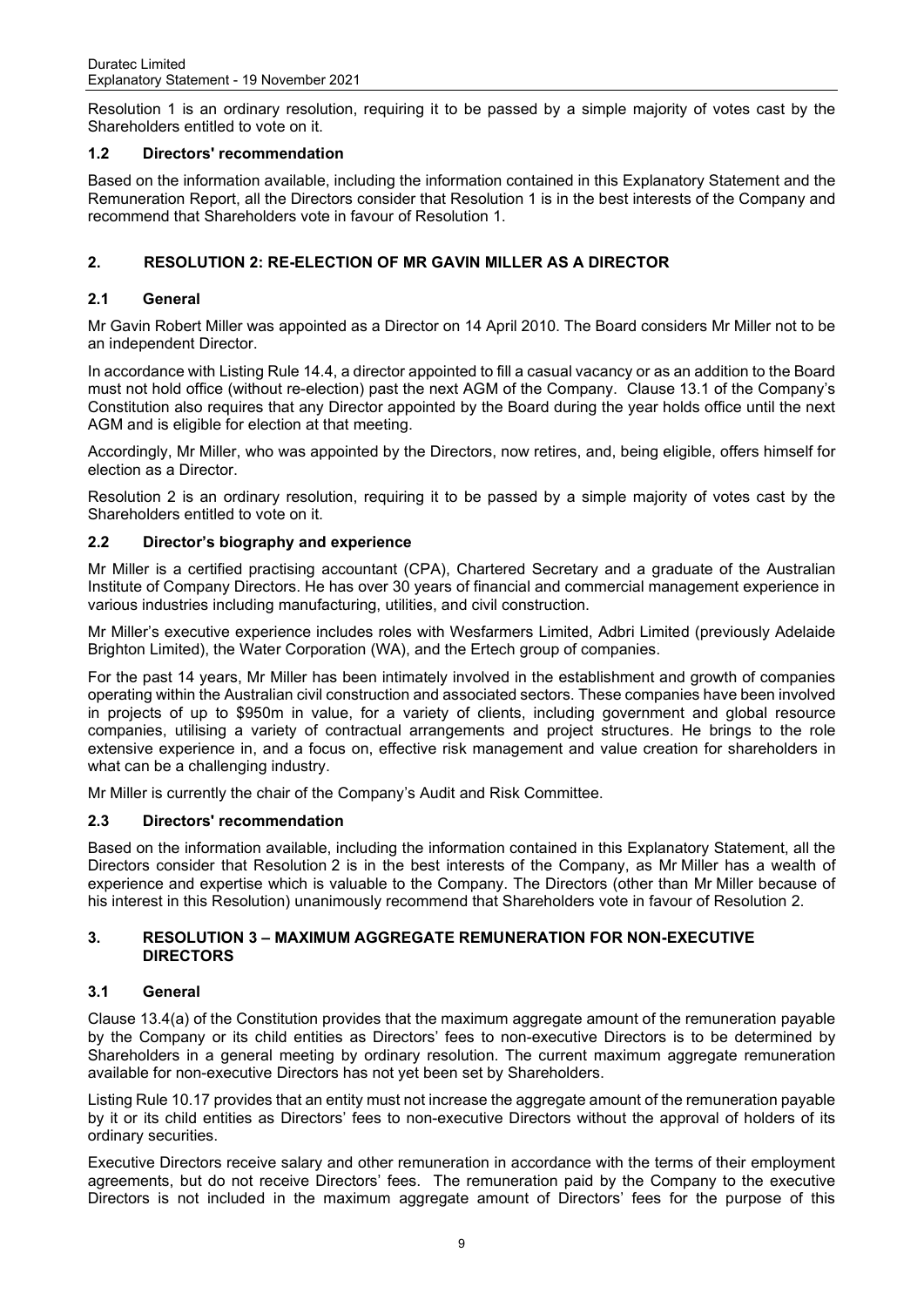Resolution 1 is an ordinary resolution, requiring it to be passed by a simple majority of votes cast by the Shareholders entitled to vote on it.

#### **1.2 Directors' recommendation**

Based on the information available, including the information contained in this Explanatory Statement and the Remuneration Report, all the Directors consider that Resolution 1 is in the best interests of the Company and recommend that Shareholders vote in favour of Resolution 1.

#### **2. RESOLUTION 2: RE-ELECTION OF MR GAVIN MILLER AS A DIRECTOR**

#### **2.1 General**

Mr Gavin Robert Miller was appointed as a Director on 14 April 2010. The Board considers Mr Miller not to be an independent Director.

In accordance with Listing Rule 14.4, a director appointed to fill a casual vacancy or as an addition to the Board must not hold office (without re-election) past the next AGM of the Company. Clause 13.1 of the Company's Constitution also requires that any Director appointed by the Board during the year holds office until the next AGM and is eligible for election at that meeting.

Accordingly, Mr Miller, who was appointed by the Directors, now retires, and, being eligible, offers himself for election as a Director.

Resolution 2 is an ordinary resolution, requiring it to be passed by a simple majority of votes cast by the Shareholders entitled to vote on it.

#### **2.2 Director's biography and experience**

Mr Miller is a certified practising accountant (CPA), Chartered Secretary and a graduate of the Australian Institute of Company Directors. He has over 30 years of financial and commercial management experience in various industries including manufacturing, utilities, and civil construction.

Mr Miller's executive experience includes roles with Wesfarmers Limited, Adbri Limited (previously Adelaide Brighton Limited), the Water Corporation (WA), and the Ertech group of companies.

For the past 14 years, Mr Miller has been intimately involved in the establishment and growth of companies operating within the Australian civil construction and associated sectors. These companies have been involved in projects of up to \$950m in value, for a variety of clients, including government and global resource companies, utilising a variety of contractual arrangements and project structures. He brings to the role extensive experience in, and a focus on, effective risk management and value creation for shareholders in what can be a challenging industry.

Mr Miller is currently the chair of the Company's Audit and Risk Committee.

#### **2.3 Directors' recommendation**

Based on the information available, including the information contained in this Explanatory Statement, all the Directors consider that Resolution 2 is in the best interests of the Company, as Mr Miller has a wealth of experience and expertise which is valuable to the Company. The Directors (other than Mr Miller because of his interest in this Resolution) unanimously recommend that Shareholders vote in favour of Resolution 2.

#### **3. RESOLUTION 3 – MAXIMUM AGGREGATE REMUNERATION FOR NON-EXECUTIVE DIRECTORS**

#### **3.1 General**

Clause 13.4(a) of the Constitution provides that the maximum aggregate amount of the remuneration payable by the Company or its child entities as Directors' fees to non-executive Directors is to be determined by Shareholders in a general meeting by ordinary resolution. The current maximum aggregate remuneration available for non-executive Directors has not yet been set by Shareholders.

Listing Rule 10.17 provides that an entity must not increase the aggregate amount of the remuneration payable by it or its child entities as Directors' fees to non-executive Directors without the approval of holders of its ordinary securities.

Executive Directors receive salary and other remuneration in accordance with the terms of their employment agreements, but do not receive Directors' fees. The remuneration paid by the Company to the executive Directors is not included in the maximum aggregate amount of Directors' fees for the purpose of this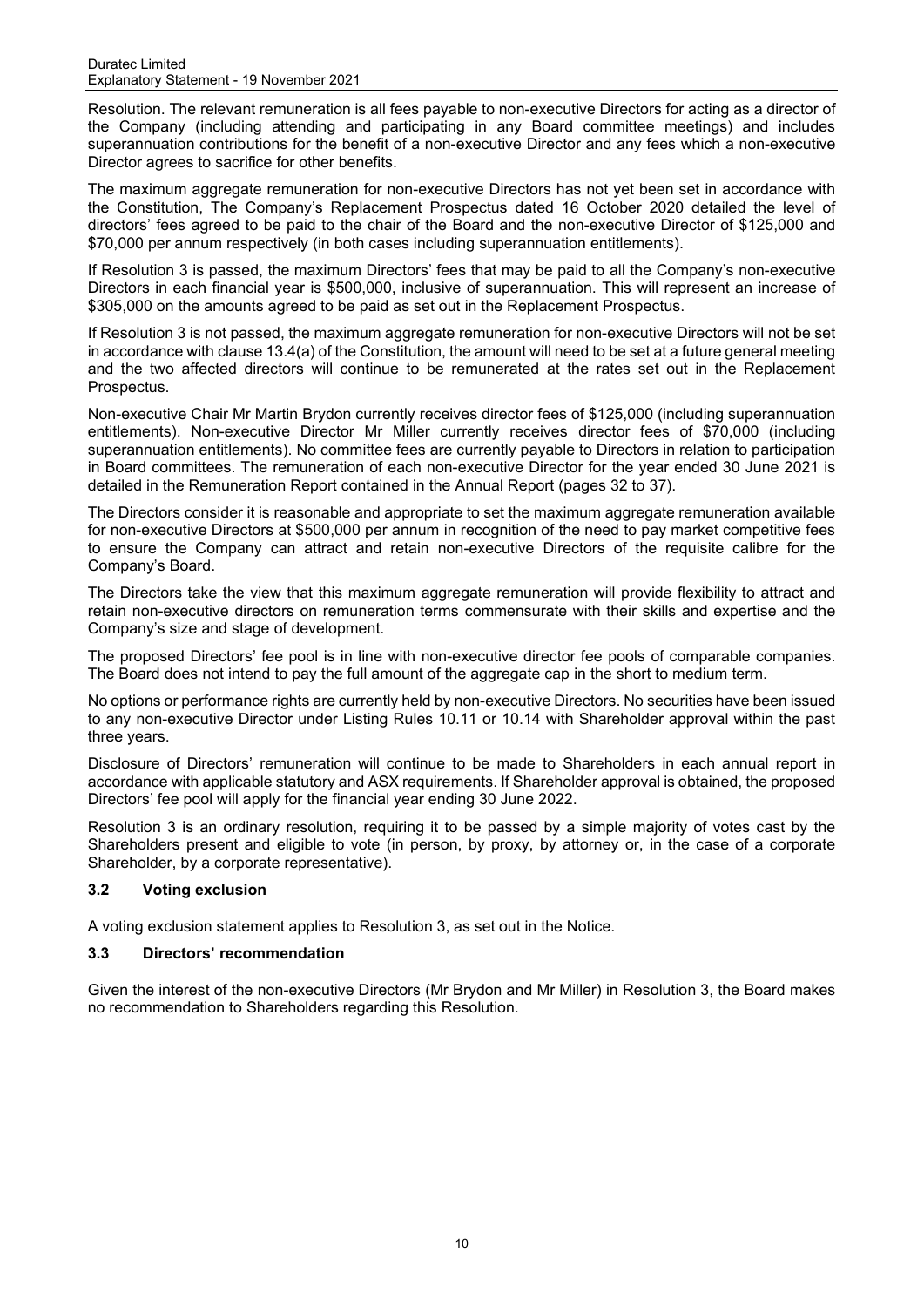Resolution. The relevant remuneration is all fees payable to non-executive Directors for acting as a director of the Company (including attending and participating in any Board committee meetings) and includes superannuation contributions for the benefit of a non-executive Director and any fees which a non-executive Director agrees to sacrifice for other benefits.

The maximum aggregate remuneration for non-executive Directors has not yet been set in accordance with the Constitution, The Company's Replacement Prospectus dated 16 October 2020 detailed the level of directors' fees agreed to be paid to the chair of the Board and the non-executive Director of \$125,000 and \$70,000 per annum respectively (in both cases including superannuation entitlements).

If Resolution 3 is passed, the maximum Directors' fees that may be paid to all the Company's non-executive Directors in each financial year is \$500,000, inclusive of superannuation. This will represent an increase of \$305,000 on the amounts agreed to be paid as set out in the Replacement Prospectus.

If Resolution 3 is not passed, the maximum aggregate remuneration for non-executive Directors will not be set in accordance with clause 13.4(a) of the Constitution, the amount will need to be set at a future general meeting and the two affected directors will continue to be remunerated at the rates set out in the Replacement Prospectus.

Non-executive Chair Mr Martin Brydon currently receives director fees of \$125,000 (including superannuation entitlements). Non-executive Director Mr Miller currently receives director fees of \$70,000 (including superannuation entitlements). No committee fees are currently payable to Directors in relation to participation in Board committees. The remuneration of each non-executive Director for the year ended 30 June 2021 is detailed in the Remuneration Report contained in the Annual Report (pages 32 to 37).

The Directors consider it is reasonable and appropriate to set the maximum aggregate remuneration available for non-executive Directors at \$500,000 per annum in recognition of the need to pay market competitive fees to ensure the Company can attract and retain non-executive Directors of the requisite calibre for the Company's Board.

The Directors take the view that this maximum aggregate remuneration will provide flexibility to attract and retain non-executive directors on remuneration terms commensurate with their skills and expertise and the Company's size and stage of development.

The proposed Directors' fee pool is in line with non-executive director fee pools of comparable companies. The Board does not intend to pay the full amount of the aggregate cap in the short to medium term.

No options or performance rights are currently held by non-executive Directors. No securities have been issued to any non-executive Director under Listing Rules 10.11 or 10.14 with Shareholder approval within the past three years.

Disclosure of Directors' remuneration will continue to be made to Shareholders in each annual report in accordance with applicable statutory and ASX requirements. If Shareholder approval is obtained, the proposed Directors' fee pool will apply for the financial year ending 30 June 2022.

Resolution 3 is an ordinary resolution, requiring it to be passed by a simple majority of votes cast by the Shareholders present and eligible to vote (in person, by proxy, by attorney or, in the case of a corporate Shareholder, by a corporate representative).

#### **3.2 Voting exclusion**

A voting exclusion statement applies to Resolution 3, as set out in the Notice.

#### **3.3 Directors' recommendation**

Given the interest of the non-executive Directors (Mr Brydon and Mr Miller) in Resolution 3, the Board makes no recommendation to Shareholders regarding this Resolution.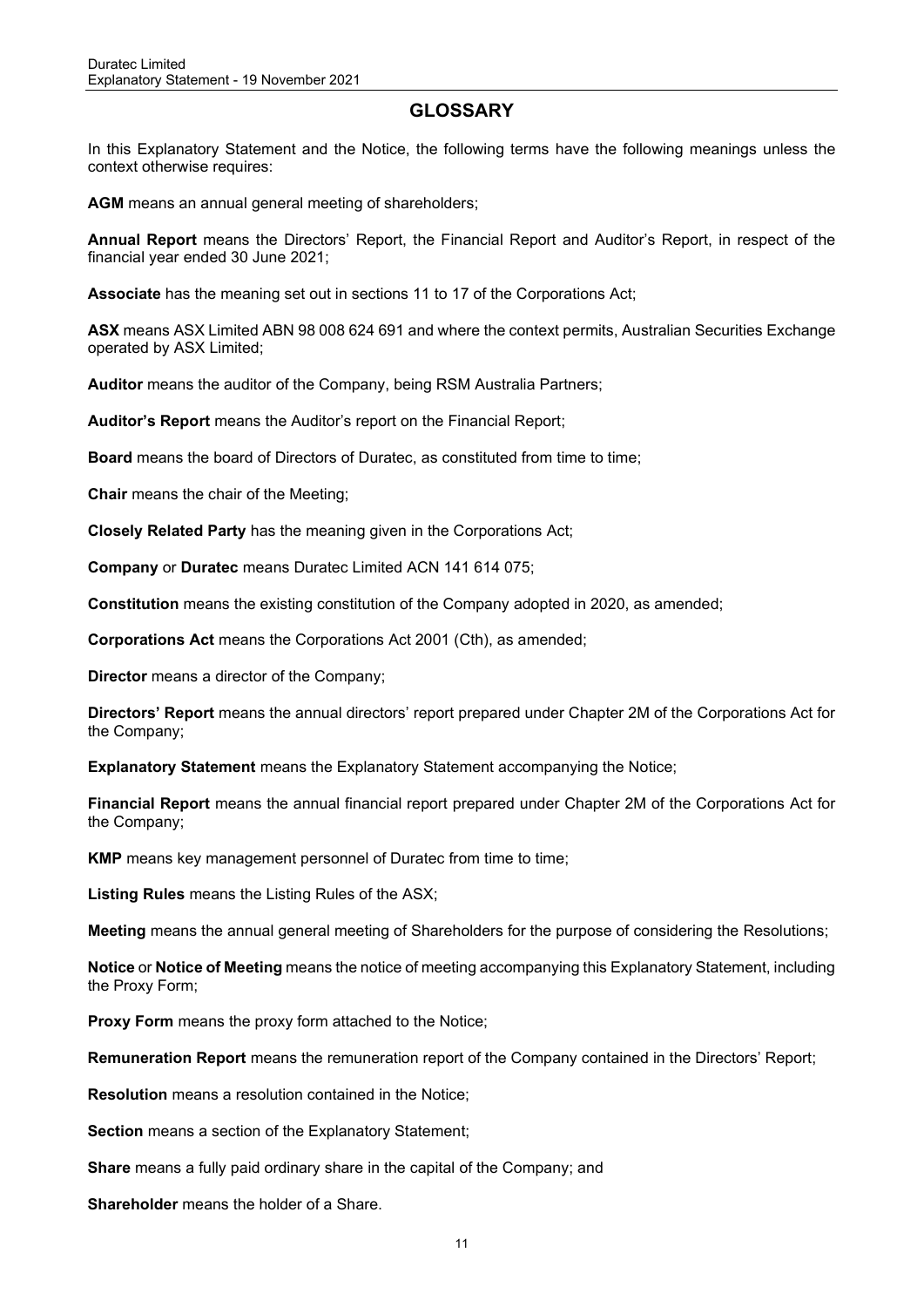### **GLOSSARY**

In this Explanatory Statement and the Notice, the following terms have the following meanings unless the context otherwise requires:

**AGM** means an annual general meeting of shareholders;

**Annual Report** means the Directors' Report, the Financial Report and Auditor's Report, in respect of the financial year ended 30 June 2021;

**Associate** has the meaning set out in sections 11 to 17 of the Corporations Act; 

**ASX** means ASX Limited ABN 98 008 624 691 and where the context permits, Australian Securities Exchange operated by ASX Limited;

**Auditor** means the auditor of the Company, being RSM Australia Partners;

**Auditor's Report** means the Auditor's report on the Financial Report;

**Board** means the board of Directors of Duratec, as constituted from time to time;

**Chair** means the chair of the Meeting;

**Closely Related Party** has the meaning given in the Corporations Act;

**Company** or **Duratec** means Duratec Limited ACN 141 614 075;

**Constitution** means the existing constitution of the Company adopted in 2020, as amended;

**Corporations Act** means the Corporations Act 2001 (Cth), as amended;

**Director** means a director of the Company;

**Directors' Report** means the annual directors' report prepared under Chapter 2M of the Corporations Act for the Company;

**Explanatory Statement** means the Explanatory Statement accompanying the Notice;

**Financial Report** means the annual financial report prepared under Chapter 2M of the Corporations Act for the Company;

**KMP** means key management personnel of Duratec from time to time;

**Listing Rules** means the Listing Rules of the ASX;

**Meeting** means the annual general meeting of Shareholders for the purpose of considering the Resolutions;

**Notice** or **Notice of Meeting** means the notice of meeting accompanying this Explanatory Statement, including the Proxy Form;

**Proxy Form** means the proxy form attached to the Notice;

**Remuneration Report** means the remuneration report of the Company contained in the Directors' Report;

**Resolution** means a resolution contained in the Notice;

**Section** means a section of the Explanatory Statement;

**Share** means a fully paid ordinary share in the capital of the Company; and

**Shareholder** means the holder of a Share.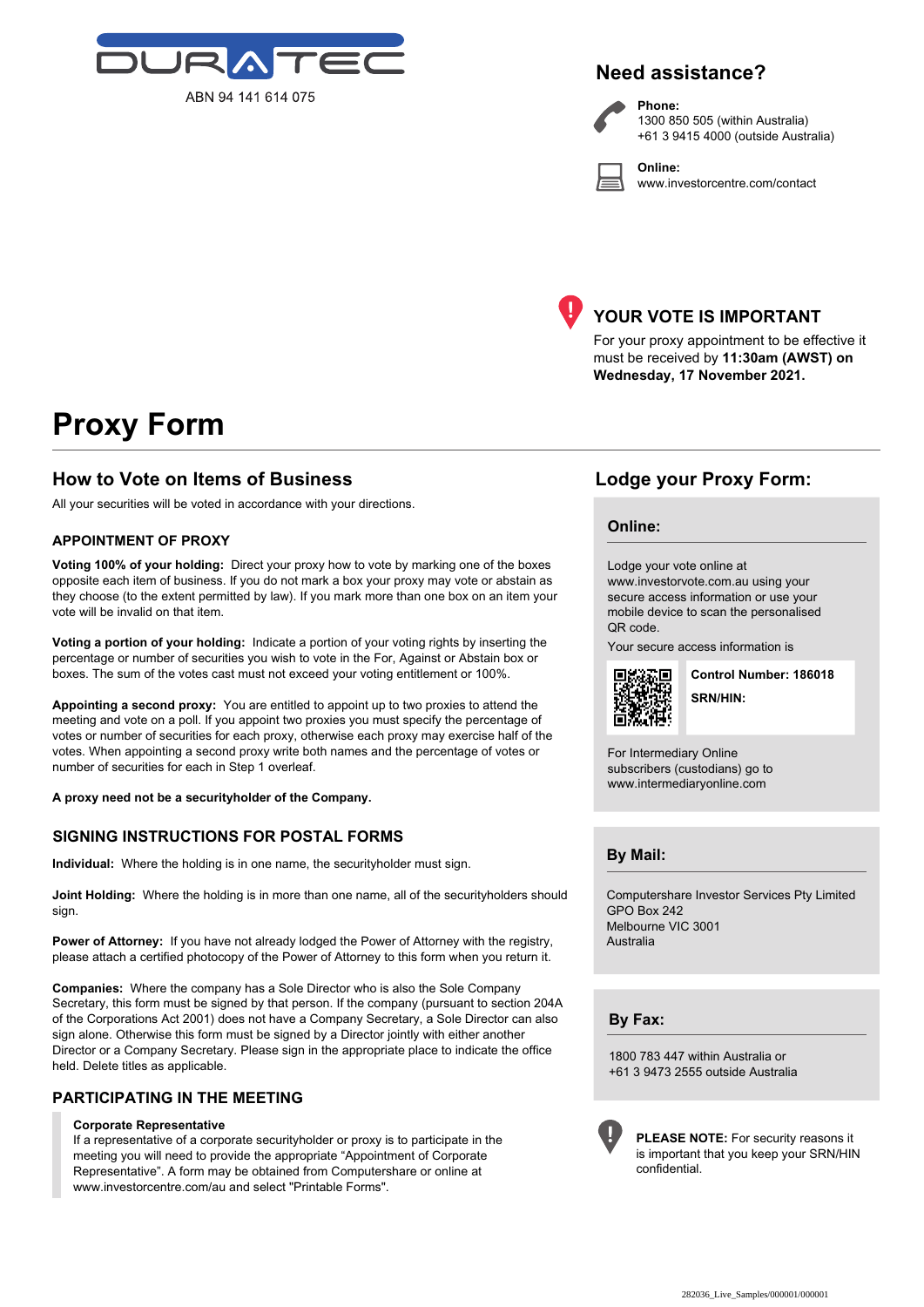

### **Need assistance?**

**Phone:**

**Online:**



1300 850 505 (within Australia) +61 3 9415 4000 (outside Australia)

www.investorcentre.com/contact



#### **YOUR VOTE IS IMPORTANT**

For your proxy appointment to be effective it must be received by **11:30am (AWST) on Wednesday, 17 November 2021.**

# **Proxy Form**

#### **How to Vote on Items of Business Lodge your Proxy Form:**

All your securities will be voted in accordance with your directions.

#### **APPOINTMENT OF PROXY**

**Voting 100% of your holding:** Direct your proxy how to vote by marking one of the boxes opposite each item of business. If you do not mark a box your proxy may vote or abstain as they choose (to the extent permitted by law). If you mark more than one box on an item your vote will be invalid on that item.

**Voting a portion of your holding:** Indicate a portion of your voting rights by inserting the percentage or number of securities you wish to vote in the For, Against or Abstain box or boxes. The sum of the votes cast must not exceed your voting entitlement or 100%.

**Appointing a second proxy:** You are entitled to appoint up to two proxies to attend the meeting and vote on a poll. If you appoint two proxies you must specify the percentage of votes or number of securities for each proxy, otherwise each proxy may exercise half of the votes. When appointing a second proxy write both names and the percentage of votes or number of securities for each in Step 1 overleaf.

**A proxy need not be a securityholder of the Company.**

#### **SIGNING INSTRUCTIONS FOR POSTAL FORMS**

**Individual:** Where the holding is in one name, the securityholder must sign.

**Joint Holding:** Where the holding is in more than one name, all of the securityholders should sign.

Power of Attorney: If you have not already lodged the Power of Attorney with the registry, please attach a certified photocopy of the Power of Attorney to this form when you return it.

**Companies:** Where the company has a Sole Director who is also the Sole Company Secretary, this form must be signed by that person. If the company (pursuant to section 204A of the Corporations Act 2001) does not have a Company Secretary, a Sole Director can also sign alone. Otherwise this form must be signed by a Director jointly with either another Director or a Company Secretary. Please sign in the appropriate place to indicate the office held. Delete titles as applicable.

#### **PARTICIPATING IN THE MEETING**

#### **Corporate Representative**

If a representative of a corporate securityholder or proxy is to participate in the meeting you will need to provide the appropriate "Appointment of Corporate Representative". A form may be obtained from Computershare or online at www.investorcentre.com/au and select "Printable Forms".

#### **Online:**

Lodge your vote online at www.investorvote.com.au using your secure access information or use your mobile device to scan the personalised QR code.

Your secure access information is



**SRN/HIN: Control Number: 186018**

For Intermediary Online subscribers (custodians) go to www.intermediaryonline.com

**By Mail:**

Computershare Investor Services Pty Limited GPO Box 242 Melbourne VIC 3001 Australia

**By Fax:**

1800 783 447 within Australia or +61 3 9473 2555 outside Australia



**PLEASE NOTE:** For security reasons it is important that you keep your SRN/HIN confidential.